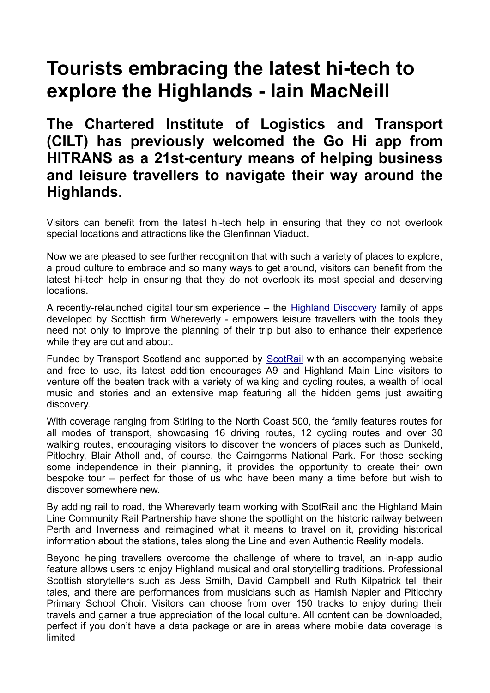## **Tourists embracing the latest hi-tech to explore the Highlands - Iain MacNeill**

**The Chartered Institute of Logistics and Transport (CILT) has previously welcomed the Go Hi app from HITRANS as a 21st-century means of helping business and leisure travellers to navigate their way around the Highlands.**

Visitors can benefit from the latest hi-tech help in ensuring that they do not overlook special locations and attractions like the Glenfinnan Viaduct.

Now we are pleased to see further recognition that with such a variety of places to explore, a proud culture to embrace and so many ways to get around, visitors can benefit from the latest hi-tech help in ensuring that they do not overlook its most special and deserving locations.

A recently-relaunched digital tourism experience – the [Highland Discovery](https://whereverly.com/highland-discovery/) family of apps developed by Scottish firm Whereverly - empowers leisure travellers with the tools they need not only to improve the planning of their trip but also to enhance their experience while they are out and about.

Funded by Transport Scotland and supported by [ScotRail](https://www.scotsman.com/topic/scotrail) with an accompanying website and free to use, its latest addition encourages A9 and Highland Main Line visitors to venture off the beaten track with a variety of walking and cycling routes, a wealth of local music and stories and an extensive map featuring all the hidden gems just awaiting discovery.

With coverage ranging from Stirling to the North Coast 500, the family features routes for all modes of transport, showcasing 16 driving routes, 12 cycling routes and over 30 walking routes, encouraging visitors to discover the wonders of places such as Dunkeld, Pitlochry, Blair Atholl and, of course, the Cairngorms National Park. For those seeking some independence in their planning, it provides the opportunity to create their own bespoke tour – perfect for those of us who have been many a time before but wish to discover somewhere new.

By adding rail to road, the Whereverly team working with ScotRail and the Highland Main Line Community Rail Partnership have shone the spotlight on the historic railway between Perth and Inverness and reimagined what it means to travel on it, providing historical information about the stations, tales along the Line and even Authentic Reality models.

Beyond helping travellers overcome the challenge of where to travel, an in-app audio feature allows users to enjoy Highland musical and oral storytelling traditions. Professional Scottish storytellers such as Jess Smith, David Campbell and Ruth Kilpatrick tell their tales, and there are performances from musicians such as Hamish Napier and Pitlochry Primary School Choir. Visitors can choose from over 150 tracks to enjoy during their travels and garner a true appreciation of the local culture. All content can be downloaded, perfect if you don't have a data package or are in areas where mobile data coverage is limited